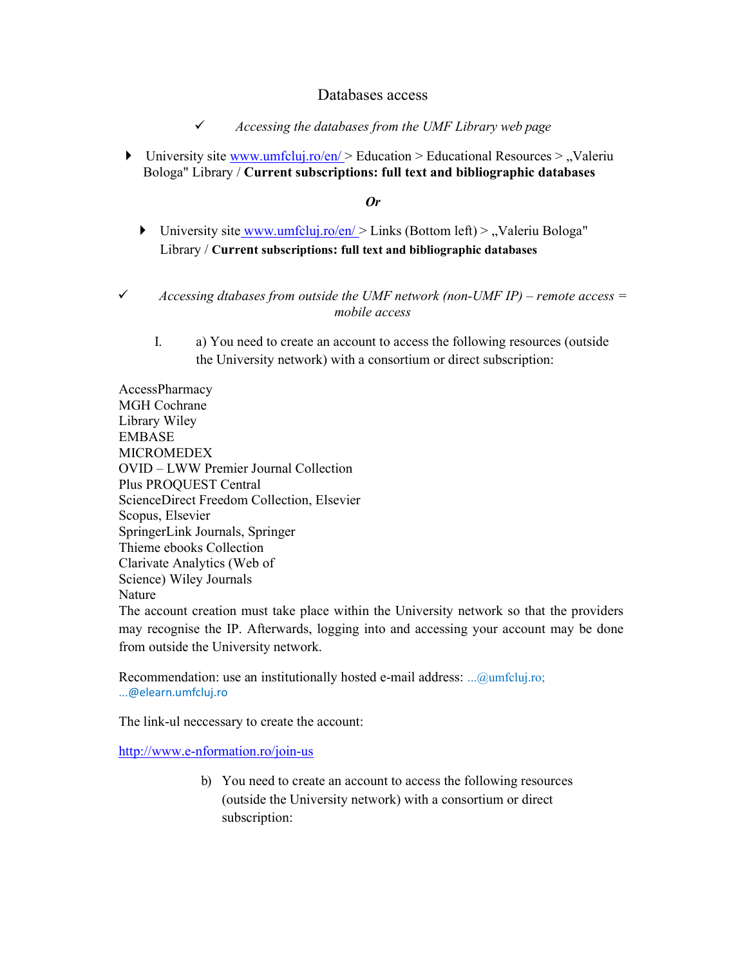## Databases access

 $\checkmark$  Accessing the databases from the UMF Library web page

University site www.umfcluj.ro/en/  $>$  Education  $>$  Educational Resources  $>$  "Valeriu" Bologa" Library / Current subscriptions: full text and bibliographic databases

## Or

- University site www.umfcluj.ro/en/  $\geq$  Links (Bottom left)  $\geq$  , Valeriu Bologa" Library / Current subscriptions: full text and bibliographic databases
- $\checkmark$  Accessing dtabases from outside the UMF network (non-UMF IP) remote access = mobile access
	- I. a) You need to create an account to access the following resources (outside the University network) with a consortium or direct subscription:

AccessPharmacy MGH Cochrane Library Wiley EMBASE MICROMEDEX OVID – LWW Premier Journal Collection Plus PROQUEST Central ScienceDirect Freedom Collection, Elsevier Scopus, Elsevier SpringerLink Journals, Springer Thieme ebooks Collection Clarivate Analytics (Web of Science) Wiley Journals Nature

The account creation must take place within the University network so that the providers may recognise the IP. Afterwards, logging into and accessing your account may be done from outside the University network.

Recommendation: use an institutionally hosted e-mail address: ...@umfcluj.ro; ...@elearn.umfcluj.ro

The link-ul neccessary to create the account:

http://www.e-nformation.ro/join-us

b) You need to create an account to access the following resources (outside the University network) with a consortium or direct subscription: